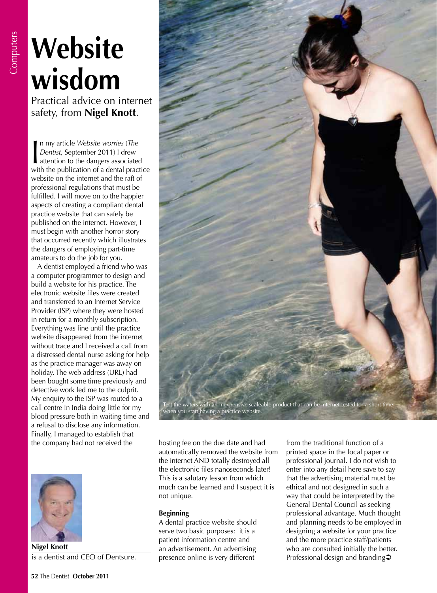# **Website wisdom**

Practical advice on internet safety, from **Nigel Knott**.

In my article *Website worries (The Dentist, September 2011)* I drew<br>attention to the dangers associated<br>with the publication of a dontal practice n my article *Website worries* (*The Dentist*, September 2011) I drew with the publication of a dental practice website on the internet and the raft of professional regulations that must be fulfilled. I will move on to the happier aspects of creating a compliant dental practice website that can safely be published on the internet. However, I must begin with another horror story that occurred recently which illustrates the dangers of employing part-time amateurs to do the job for you.

A dentist employed a friend who was a computer programmer to design and build a website for his practice. The electronic website files were created and transferred to an Internet Service Provider (ISP) where they were hosted in return for a monthly subscription. Everything was fine until the practice website disappeared from the internet without trace and I received a call from a distressed dental nurse asking for help as the practice manager was away on holiday. The web address (URL) had been bought some time previously and detective work led me to the culprit. My enquiry to the ISP was routed to a call centre in India doing little for my blood pressure both in waiting time and a refusal to disclose any information. Finally, I managed to establish that the company had not received the



**Nigel Knott** is a dentist and CEO of Dentsure.



when you start having a practice website.

hosting fee on the due date and had automatically removed the website from the internet AND totally destroyed all the electronic files nanoseconds later! This is a salutary lesson from which much can be learned and I suspect it is not unique.

# **Beginning**

A dental practice website should serve two basic purposes: it is a patient information centre and an advertisement. An advertising presence online is very different

from the traditional function of a printed space in the local paper or professional journal. I do not wish to enter into any detail here save to say that the advertising material must be ethical and not designed in such a way that could be interpreted by the General Dental Council as seeking professional advantage. Much thought and planning needs to be employed in designing a website for your practice and the more practice staff/patients who are consulted initially the better. Professional design and branding<sup>2</sup>